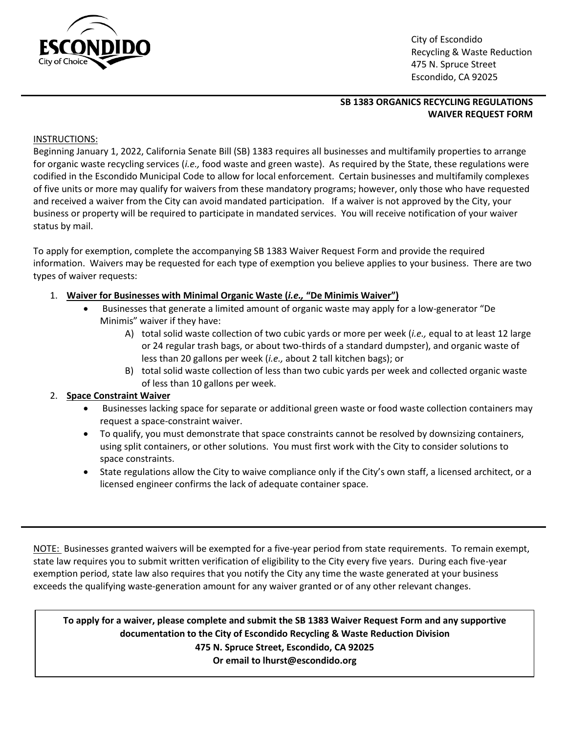

 City of Escondido Recycling & Waste Reduction<br>City of Choice<br>
A 75 N Spruce Street 475 N. Spruce Street Escondido, CA 92025

## **SB 1383 ORGANICS RECYCLING REGULATIONS WAIVER REQUEST FORM**

## INSTRUCTIONS:

Beginning January 1, 2022, California Senate Bill (SB) 1383 requires all businesses and multifamily properties to arrange for organic waste recycling services (*i.e.,* food waste and green waste). As required by the State, these regulations were codified in the Escondido Municipal Code to allow for local enforcement. Certain businesses and multifamily complexes of five units or more may qualify for waivers from these mandatory programs; however, only those who have requested and received a waiver from the City can avoid mandated participation. If a waiver is not approved by the City, your business or property will be required to participate in mandated services. You will receive notification of your waiver status by mail.

To apply for exemption, complete the accompanying SB 1383 Waiver Request Form and provide the required information. Waivers may be requested for each type of exemption you believe applies to your business. There are two types of waiver requests:

- 1. **Waiver for Businesses with Minimal Organic Waste (***i.e.,* **"De Minimis Waiver")**
	- Businesses that generate a limited amount of organic waste may apply for a low-generator "De Minimis" waiver if they have:
		- A) total solid waste collection of two cubic yards or more per week (*i.e.,* equal to at least 12 large or 24 regular trash bags, or about two-thirds of a standard dumpster), and organic waste of less than 20 gallons per week (*i.e.,* about 2 tall kitchen bags); or
		- B) total solid waste collection of less than two cubic yards per week and collected organic waste of less than 10 gallons per week.

## 2. **Space Constraint Waiver**

- Businesses lacking space for separate or additional green waste or food waste collection containers may request a space-constraint waiver.
- To qualify, you must demonstrate that space constraints cannot be resolved by downsizing containers, using split containers, or other solutions. You must first work with the City to consider solutions to space constraints.
- State regulations allow the City to waive compliance only if the City's own staff, a licensed architect, or a licensed engineer confirms the lack of adequate container space.

NOTE: Businesses granted waivers will be exempted for a five-year period from state requirements. To remain exempt, state law requires you to submit written verification of eligibility to the City every five years. During each five-year exemption period, state law also requires that you notify the City any time the waste generated at your business exceeds the qualifying waste-generation amount for any waiver granted or of any other relevant changes.

 **Or email to lhurst@escondido.orgTo apply for a waiver, please complete and submit the SB 1383 Waiver Request Form and any supportive documentation to the City of Escondido Recycling & Waste Reduction Division 475 N. Spruce Street, Escondido, CA 92025**